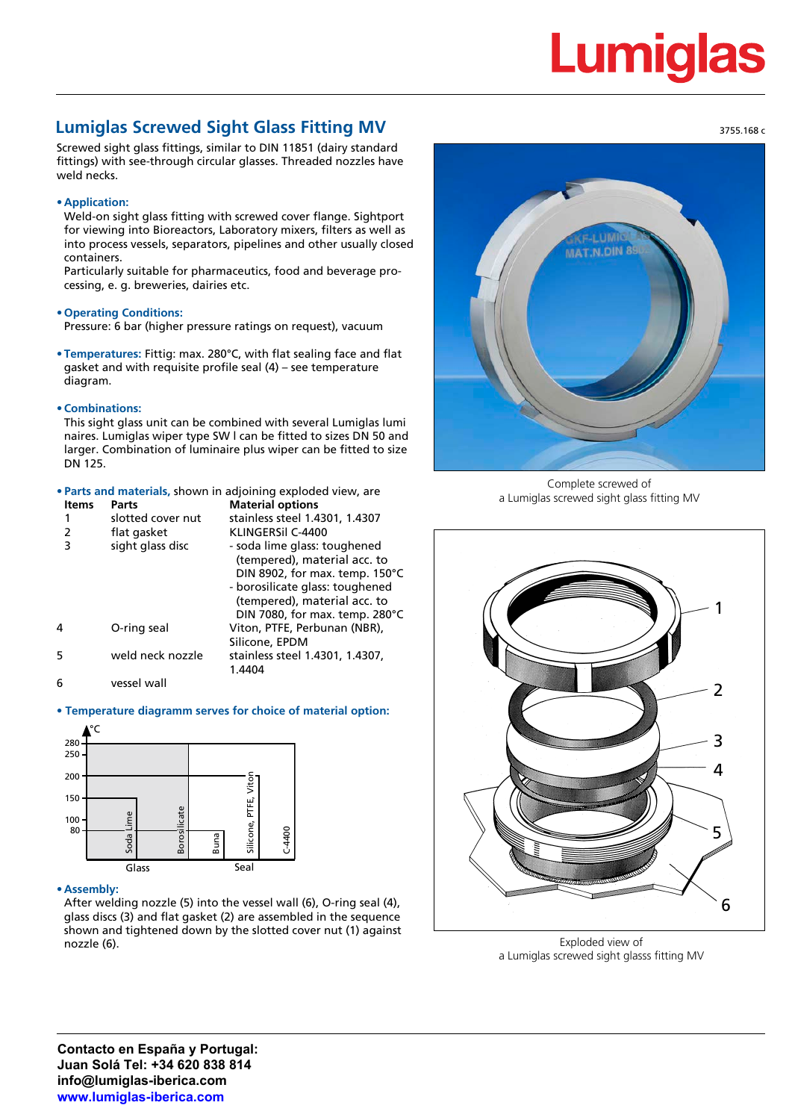# Lumiq

# **Lumiglas Screwed Sight Glass Fitting MV**

Screwed sight glass fittings, similar to DIN 11851 (dairy standard fittings) with see-through circular glasses. Threaded nozzles have weld necks.

# **• Application:**

Weld-on sight glass fitting with screwed cover flange. Sightport for viewing into Bioreactors, Laboratory mixers, filters as well as into process vessels, separators, pipelines and other usually closed containers.

Particularly suitable for pharmaceutics, food and beverage processing, e. g. breweries, dairies etc.

### **• Operating Conditions:**

Pressure: 6 bar (higher pressure ratings on request), vacuum

**• Temperatures:** Fittig: max. 280°C, with flat sealing face and flat gasket and with requisite profile seal (4) – see temperature diagram.

### **• Combinations:**

This sight glass unit can be combined with several Lumiglas lumi naires. Lumiglas wiper type SW l can be fitted to sizes DN 50 and larger. Combination of luminaire plus wiper can be fitted to size DN 125.

### **• Parts and materials,** shown in adjoining exploded view, are

| <b>Items</b> | Parts             | <b>Material options</b>         |
|--------------|-------------------|---------------------------------|
|              | slotted cover nut | stainless steel 1.4301, 1.4307  |
| 2            | flat gasket       | KLINGERSIL C-4400               |
| 3            | sight glass disc  | - soda lime glass: toughened    |
|              |                   | (tempered), material acc. to    |
|              |                   | DIN 8902, for max. temp. 150°C  |
|              |                   | - borosilicate glass: toughened |
|              |                   | (tempered), material acc. to    |
|              |                   | DIN 7080, for max. temp. 280°C  |
| 4            | O-ring seal       | Viton, PTFE, Perbunan (NBR),    |
|              |                   | Silicone, EPDM                  |
| 5            | weld neck nozzle  | stainless steel 1.4301, 1.4307, |
|              |                   | 1.4404                          |
| 6            | vessel wall       |                                 |
|              |                   |                                 |

# **• Temperature diagramm serves for choice of material option:**



### **• Assembly:**

After welding nozzle (5) into the vessel wall (6), O-ring seal (4), glass discs (3) and flat gasket (2) are assembled in the sequence shown and tightened down by the slotted cover nut (1) against nozzle (6).



Complete screwed of a Lumiglas screwed sight glass fitting MV



Exploded view of a Lumiglas screwed sight glasss fitting MV

**Contacto en España y Portugal: Juan Solá Tel: +34 620 838 814 info@lumiglas-iberica.com www.lumiglas-iberica.com**

3755.168 c